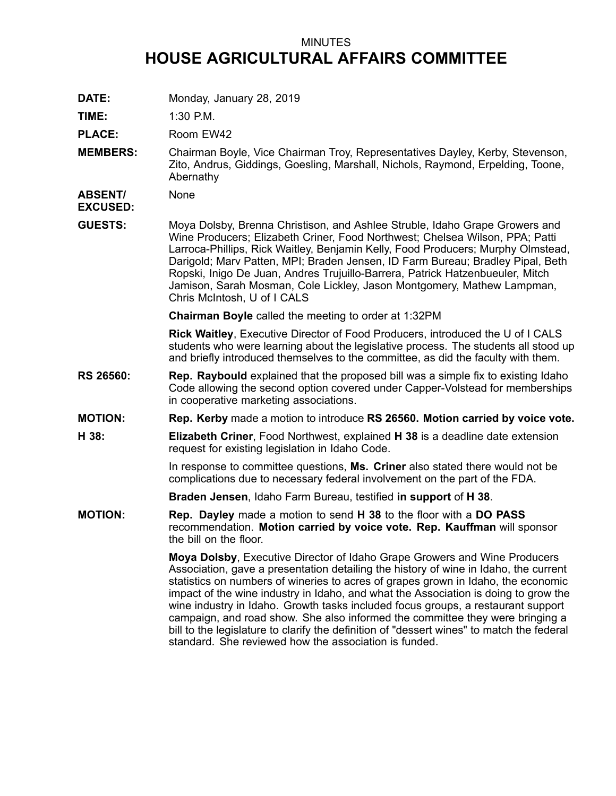## MINUTES **HOUSE AGRICULTURAL AFFAIRS COMMITTEE**

**DATE:** Monday, January 28, 2019

**TIME:** 1:30 P.M.

PLACE: Room EW42

**MEMBERS:** Chairman Boyle, Vice Chairman Troy, Representatives Dayley, Kerby, Stevenson, Zito, Andrus, Giddings, Goesling, Marshall, Nichols, Raymond, Erpelding, Toone, Abernathy

**ABSENT/ EXCUSED:** None

**GUESTS:** Moya Dolsby, Brenna Christison, and Ashlee Struble, Idaho Grape Growers and Wine Producers; Elizabeth Criner, Food Northwest; Chelsea Wilson, PPA; Patti Larroca-Phillips, Rick Waitley, Benjamin Kelly, Food Producers; Murphy Olmstead, Darigold; Marv Patten, MPI; Braden Jensen, ID Farm Bureau; Bradley Pipal, Beth Ropski, Inigo De Juan, Andres Trujuillo-Barrera, Patrick Hatzenbueuler, Mitch Jamison, Sarah Mosman, Cole Lickley, Jason Montgomery, Mathew Lampman, Chris McIntosh, U of I CALS

**Chairman Boyle** called the meeting to order at 1:32PM

**Rick Waitley**, Executive Director of Food Producers, introduced the U of I CALS students who were learning about the legislative process. The students all stood up and briefly introduced themselves to the committee, as did the faculty with them.

- **RS 26560: Rep. Raybould** explained that the proposed bill was <sup>a</sup> simple fix to existing Idaho Code allowing the second option covered under Capper-Volstead for memberships in cooperative marketing associations.
- **MOTION: Rep. Kerby** made <sup>a</sup> motion to introduce **RS 26560. Motion carried by voice vote.**
- **H 38: Elizabeth Criner**, Food Northwest, explained **H 38** is <sup>a</sup> deadline date extension request for existing legislation in Idaho Code.

In response to committee questions, **Ms. Criner** also stated there would not be complications due to necessary federal involvement on the part of the FDA.

**Braden Jensen**, Idaho Farm Bureau, testified **in support** of **H 38**.

**MOTION: Rep. Dayley** made <sup>a</sup> motion to send **H 38** to the floor with <sup>a</sup> **DO PASS** recommendation. **Motion carried by voice vote. Rep. Kauffman** will sponsor the bill on the floor.

> **Moya Dolsby**, Executive Director of Idaho Grape Growers and Wine Producers Association, gave <sup>a</sup> presentation detailing the history of wine in Idaho, the current statistics on numbers of wineries to acres of grapes grown in Idaho, the economic impact of the wine industry in Idaho, and what the Association is doing to grow the wine industry in Idaho. Growth tasks included focus groups, <sup>a</sup> restaurant support campaign, and road show. She also informed the committee they were bringing <sup>a</sup> bill to the legislature to clarify the definition of "dessert wines" to match the federal standard. She reviewed how the association is funded.